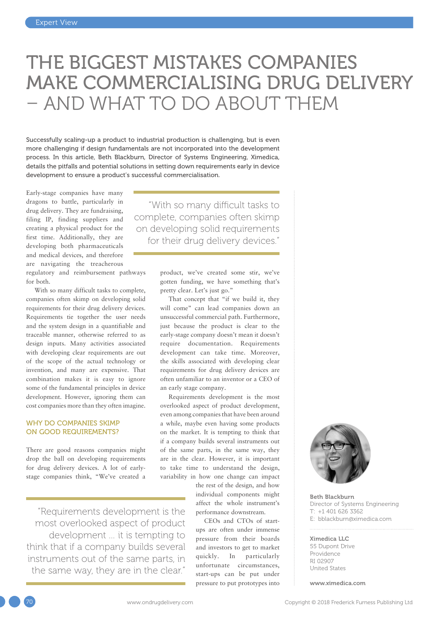# THE BIGGEST MISTAKES COMPANIES MAKE COMMERCIALISING DRUG DELIVERY – AND WHAT TO DO ABOUT THEM

Successfully scaling-up a product to industrial production is challenging, but is even more challenging if design fundamentals are not incorporated into the development process. In this article, Beth Blackburn, Director of Systems Engineering, Ximedica, details the pitfalls and potential solutions in setting down requirements early in device development to ensure a product's successful commercialisation.

Early-stage companies have many dragons to battle, particularly in drug delivery. They are fundraising, filing IP, finding suppliers and creating a physical product for the first time. Additionally, they are developing both pharmaceuticals and medical devices, and therefore are navigating the treacherous regulatory and reimbursement pathways for both.

With so many difficult tasks to complete, companies often skimp on developing solid requirements for their drug delivery devices. Requirements tie together the user needs and the system design in a quantifiable and traceable manner, otherwise referred to as design inputs. Many activities associated with developing clear requirements are out of the scope of the actual technology or invention, and many are expensive. That combination makes it is easy to ignore some of the fundamental principles in device development. However, ignoring them can cost companies more than they often imagine.

#### WHY DO COMPANIES SKIMP ON GOOD REQUIREMENTS?

There are good reasons companies might drop the ball on developing requirements for drug delivery devices. A lot of earlystage companies think, "We've created a

"Requirements development is the most overlooked aspect of product development … it is tempting to think that if a company builds several instruments out of the same parts, in the same way, they are in the clear."

"With so many difficult tasks to complete, companies often skimp on developing solid requirements for their drug delivery devices."

> product, we've created some stir, we've gotten funding, we have something that's pretty clear. Let's just go."

That concept that "if we build it, they will come" can lead companies down an unsuccessful commercial path. Furthermore, just because the product is clear to the early-stage company doesn't mean it doesn't require documentation. Requirements development can take time. Moreover, the skills associated with developing clear requirements for drug delivery devices are often unfamiliar to an inventor or a CEO of an early stage company.

Requirements development is the most overlooked aspect of product development, even among companies that have been around a while, maybe even having some products on the market. It is tempting to think that if a company builds several instruments out of the same parts, in the same way, they are in the clear. However, it is important to take time to understand the design, variability in how one change can impact

> the rest of the design, and how individual components might affect the whole instrument's performance downstream.

CEOs and CTOs of startups are often under immense pressure from their boards and investors to get to market quickly. In particularly unfortunate circumstances, start-ups can be put under pressure to put prototypes into



Beth Blackburn Director of Systems Engineering  $T: +14016263362$ E: [bblackburn@ximedica.com](mailto:bblackburn@ximedica.com)

#### Ximedica LLC

55 Dupont Drive Providence RI 02907 United States

[www.ximedica.com](http://www.ximedica.com)

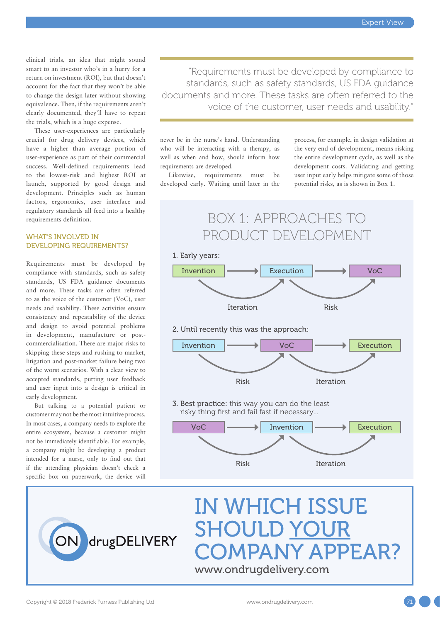clinical trials, an idea that might sound smart to an investor who's in a hurry for a return on investment (ROI), but that doesn't account for the fact that they won't be able to change the design later without showing equivalence. Then, if the requirements aren't clearly documented, they'll have to repeat the trials, which is a huge expense.

These user-experiences are particularly crucial for drug delivery devices, which have a higher than average portion of user-experience as part of their commercial success. Well-defined requirements lead to the lowest-risk and highest ROI at launch, supported by good design and development. Principles such as human factors, ergonomics, user interface and regulatory standards all feed into a healthy requirements definition.

#### WHAT'S INVOLVED IN DEVELOPING REQUIREMENTS?

Requirements must be developed by compliance with standards, such as safety standards, US FDA guidance documents and more. These tasks are often referred to as the voice of the customer (VoC), user needs and usability. These activities ensure consistency and repeatability of the device and design to avoid potential problems in development, manufacture or postcommercialisation. There are major risks to skipping these steps and rushing to market, litigation and post-market failure being two of the worst scenarios. With a clear view to accepted standards, putting user feedback and user input into a design is critical in early development.

But talking to a potential patient or customer may not be the most intuitive process. In most cases, a company needs to explore the entire ecosystem, because a customer might not be immediately identifiable. For example, a company might be developing a product intended for a nurse, only to find out that if the attending physician doesn't check a specific box on paperwork, the device will

"Requirements must be developed by compliance to standards, such as safety standards, US FDA guidance documents and more. These tasks are often referred to the voice of the customer, user needs and usability."

never be in the nurse's hand. Understanding who will be interacting with a therapy, as well as when and how, should inform how requirements are developed.

Likewise, requirements must be developed early. Waiting until later in the process, for example, in design validation at the very end of development, means risking the entire development cycle, as well as the development costs. Validating and getting user input early helps mitigate some of those potential risks, as is shown in Box 1.





## IN WHICH ISSUE SHOULD YOUR COMPANY APPEAR? [www.ondrugdelivery.com](http://www.ondrugdelivery.com)